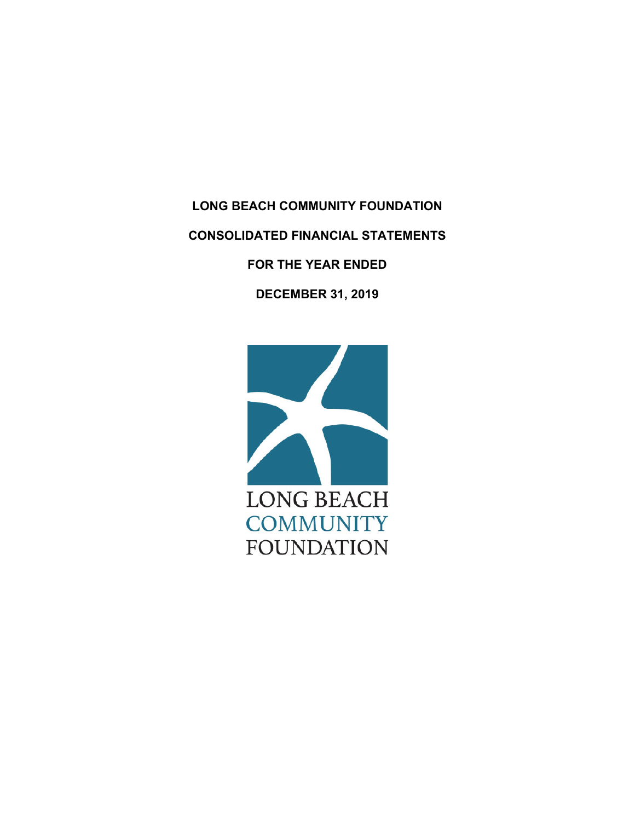**LONG BEACH COMMUNITY FOUNDATION CONSOLIDATED FINANCIAL STATEMENTS FOR THE YEAR ENDED** 

**DECEMBER 31, 2019** 

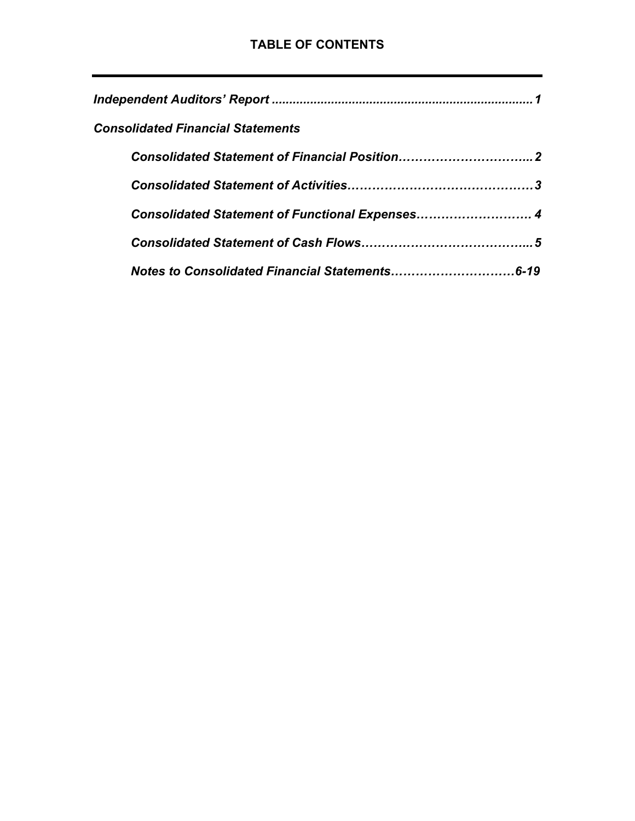| <b>Consolidated Financial Statements</b>        |  |
|-------------------------------------------------|--|
|                                                 |  |
|                                                 |  |
| Consolidated Statement of Functional Expenses 4 |  |
|                                                 |  |
|                                                 |  |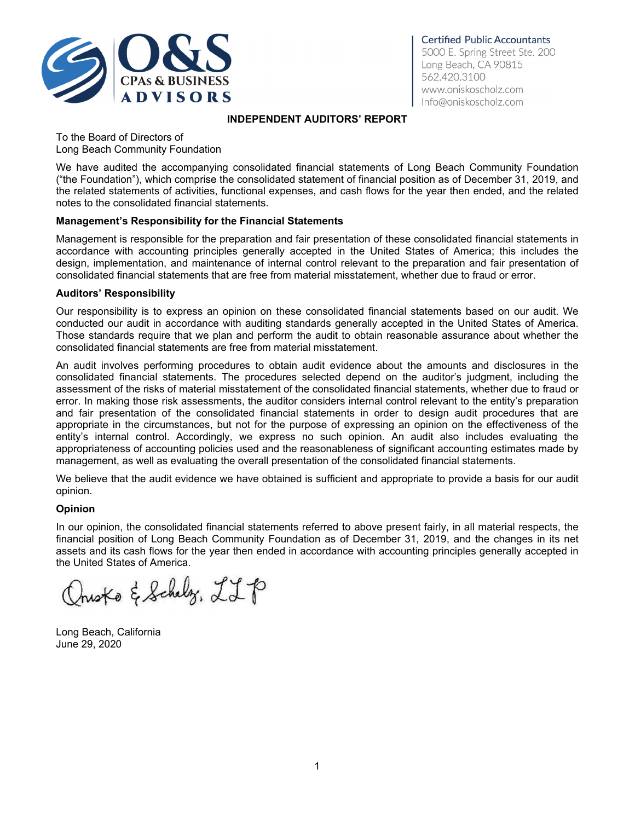

**Certified Public Accountants** 5000 E. Spring Street Ste. 200 Long Beach, CA 90815 562,420,3100 www.oniskoscholz.com Info@oniskoscholz.com

#### **INDEPENDENT AUDITORS' REPORT**

To the Board of Directors of Long Beach Community Foundation

We have audited the accompanying consolidated financial statements of Long Beach Community Foundation ("the Foundation"), which comprise the consolidated statement of financial position as of December 31, 2019, and the related statements of activities, functional expenses, and cash flows for the year then ended, and the related notes to the consolidated financial statements.

#### **Management's Responsibility for the Financial Statements**

Management is responsible for the preparation and fair presentation of these consolidated financial statements in accordance with accounting principles generally accepted in the United States of America; this includes the design, implementation, and maintenance of internal control relevant to the preparation and fair presentation of consolidated financial statements that are free from material misstatement, whether due to fraud or error.

#### **Auditors' Responsibility**

Our responsibility is to express an opinion on these consolidated financial statements based on our audit. We conducted our audit in accordance with auditing standards generally accepted in the United States of America. Those standards require that we plan and perform the audit to obtain reasonable assurance about whether the consolidated financial statements are free from material misstatement.

An audit involves performing procedures to obtain audit evidence about the amounts and disclosures in the consolidated financial statements. The procedures selected depend on the auditor's judgment, including the assessment of the risks of material misstatement of the consolidated financial statements, whether due to fraud or error. In making those risk assessments, the auditor considers internal control relevant to the entity's preparation and fair presentation of the consolidated financial statements in order to design audit procedures that are appropriate in the circumstances, but not for the purpose of expressing an opinion on the effectiveness of the entity's internal control. Accordingly, we express no such opinion. An audit also includes evaluating the appropriateness of accounting policies used and the reasonableness of significant accounting estimates made by management, as well as evaluating the overall presentation of the consolidated financial statements.

We believe that the audit evidence we have obtained is sufficient and appropriate to provide a basis for our audit opinion.

#### **Opinion**

In our opinion, the consolidated financial statements referred to above present fairly, in all material respects, the financial position of Long Beach Community Foundation as of December 31, 2019, and the changes in its net assets and its cash flows for the year then ended in accordance with accounting principles generally accepted in the United States of America.

hisko & Schelz, LLP

Long Beach, California June 29, 2020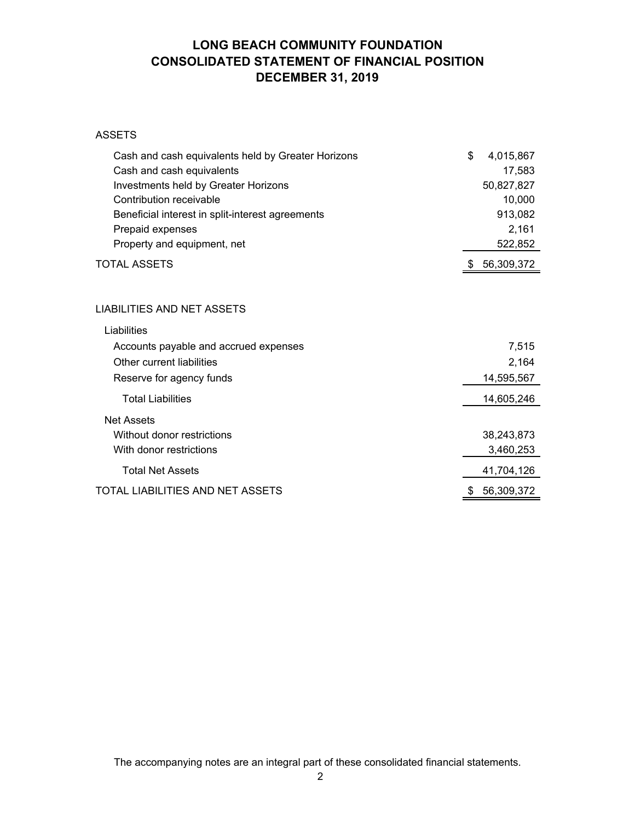# **LONG BEACH COMMUNITY FOUNDATION CONSOLIDATED STATEMENT OF FINANCIAL POSITION DECEMBER 31, 2019**

#### ASSETS

| Cash and cash equivalents held by Greater Horizons<br>Cash and cash equivalents | \$<br>4,015,867<br>17,583 |
|---------------------------------------------------------------------------------|---------------------------|
| Investments held by Greater Horizons                                            | 50,827,827                |
| Contribution receivable                                                         | 10,000                    |
| Beneficial interest in split-interest agreements                                | 913,082                   |
| Prepaid expenses                                                                | 2,161                     |
| Property and equipment, net                                                     | 522,852                   |
| TOTAL ASSETS                                                                    | 56,309,372                |
|                                                                                 |                           |
| LIABILITIES AND NET ASSETS                                                      |                           |
| Liabilities                                                                     |                           |
| Accounts payable and accrued expenses                                           | 7,515                     |
| Other current liabilities                                                       | 2,164                     |
| Reserve for agency funds                                                        | 14,595,567                |
| <b>Total Liabilities</b>                                                        | 14,605,246                |
| <b>Net Assets</b>                                                               |                           |
| Without donor restrictions                                                      | 38,243,873                |
| With donor restrictions                                                         | 3,460,253                 |
| <b>Total Net Assets</b>                                                         | 41,704,126                |
| TOTAL LIABILITIES AND NET ASSETS                                                | \$<br>56,309,372          |

The accompanying notes are an integral part of these consolidated financial statements.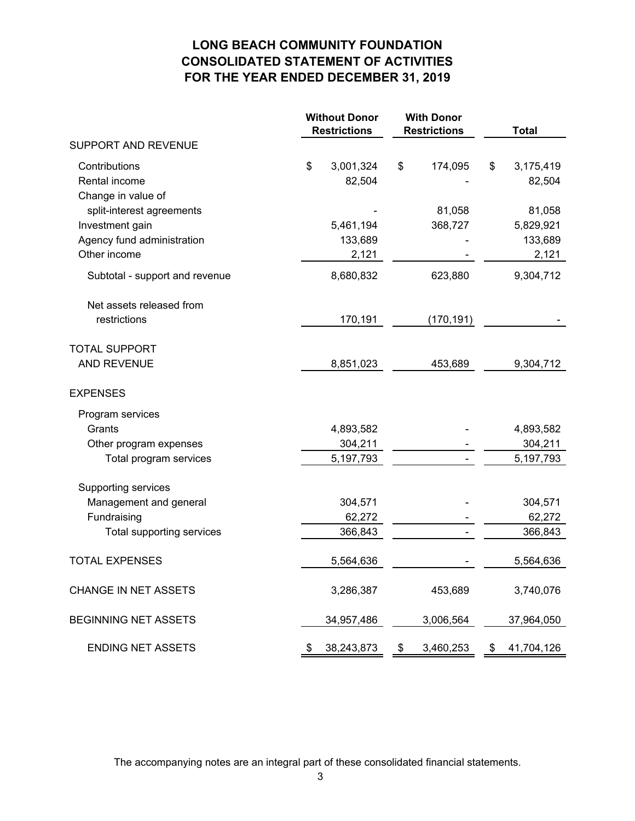# **LONG BEACH COMMUNITY FOUNDATION CONSOLIDATED STATEMENT OF ACTIVITIES FOR THE YEAR ENDED DECEMBER 31, 2019**

|                                            | <b>Without Donor</b><br><b>Restrictions</b> | <b>With Donor</b><br><b>Restrictions</b> |                  | <b>Total</b> |  |
|--------------------------------------------|---------------------------------------------|------------------------------------------|------------------|--------------|--|
| SUPPORT AND REVENUE                        |                                             |                                          |                  |              |  |
| Contributions                              | \$<br>3,001,324                             | \$<br>174,095                            | \$<br>3,175,419  |              |  |
| Rental income                              | 82,504                                      |                                          | 82,504           |              |  |
| Change in value of                         |                                             |                                          |                  |              |  |
| split-interest agreements                  |                                             | 81,058                                   | 81,058           |              |  |
| Investment gain                            | 5,461,194                                   | 368,727                                  | 5,829,921        |              |  |
| Agency fund administration<br>Other income | 133,689                                     |                                          | 133,689          |              |  |
|                                            | 2,121                                       |                                          | 2,121            |              |  |
| Subtotal - support and revenue             | 8,680,832                                   | 623,880                                  | 9,304,712        |              |  |
| Net assets released from                   |                                             |                                          |                  |              |  |
| restrictions                               | 170,191                                     | (170, 191)                               |                  |              |  |
| <b>TOTAL SUPPORT</b>                       |                                             |                                          |                  |              |  |
| <b>AND REVENUE</b>                         | 8,851,023                                   | 453,689                                  | 9,304,712        |              |  |
| <b>EXPENSES</b>                            |                                             |                                          |                  |              |  |
| Program services                           |                                             |                                          |                  |              |  |
| Grants                                     | 4,893,582                                   |                                          | 4,893,582        |              |  |
| Other program expenses                     | 304,211                                     |                                          | 304,211          |              |  |
| Total program services                     | 5,197,793                                   |                                          | 5,197,793        |              |  |
| Supporting services                        |                                             |                                          |                  |              |  |
| Management and general                     | 304,571                                     |                                          | 304,571          |              |  |
| Fundraising                                | 62,272                                      |                                          | 62,272           |              |  |
| Total supporting services                  | 366,843                                     |                                          | 366,843          |              |  |
| <b>TOTAL EXPENSES</b>                      | 5,564,636                                   |                                          | 5,564,636        |              |  |
| CHANGE IN NET ASSETS                       | 3,286,387                                   | 453,689                                  | 3,740,076        |              |  |
| <b>BEGINNING NET ASSETS</b>                | 34,957,486                                  | 3,006,564                                | 37,964,050       |              |  |
| <b>ENDING NET ASSETS</b>                   | \$<br>38,243,873                            | \$<br>3,460,253                          | 41,704,126<br>\$ |              |  |

The accompanying notes are an integral part of these consolidated financial statements.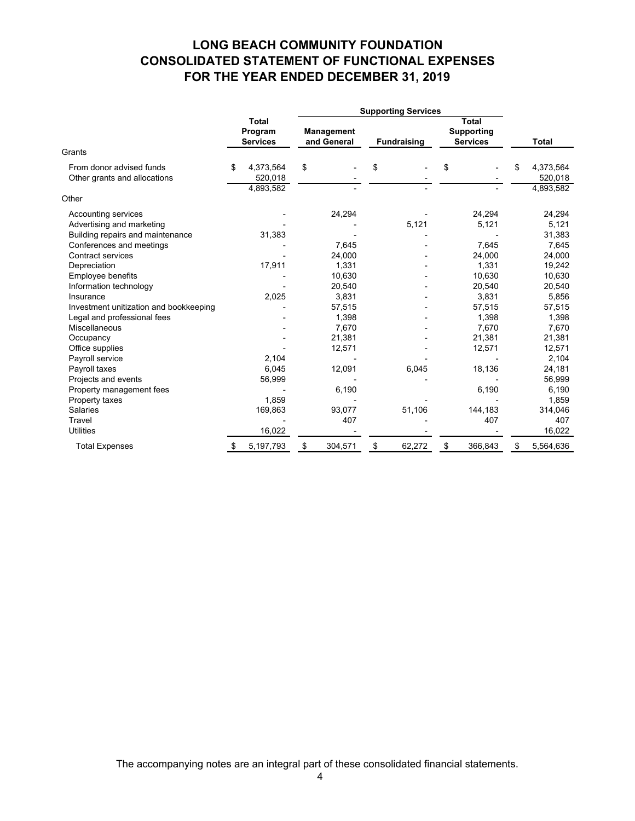# **LONG BEACH COMMUNITY FOUNDATION CONSOLIDATED STATEMENT OF FUNCTIONAL EXPENSES FOR THE YEAR ENDED DECEMBER 31, 2019**

|                                        |    |                                            | <b>Supporting Services</b> |                                  |    |                    |    |                                                      |                 |
|----------------------------------------|----|--------------------------------------------|----------------------------|----------------------------------|----|--------------------|----|------------------------------------------------------|-----------------|
|                                        |    | <b>Total</b><br>Program<br><b>Services</b> |                            | <b>Management</b><br>and General |    | <b>Fundraising</b> |    | <b>Total</b><br><b>Supporting</b><br><b>Services</b> | <b>Total</b>    |
| Grants                                 |    |                                            |                            |                                  |    |                    |    |                                                      |                 |
| From donor advised funds               | \$ | 4,373,564                                  | \$                         |                                  | \$ |                    | \$ |                                                      | \$<br>4,373,564 |
| Other grants and allocations           |    | 520,018                                    |                            |                                  |    |                    |    |                                                      | 520,018         |
|                                        |    | 4,893,582                                  |                            |                                  |    |                    |    |                                                      | 4,893,582       |
| Other                                  |    |                                            |                            |                                  |    |                    |    |                                                      |                 |
| Accounting services                    |    |                                            |                            | 24,294                           |    |                    |    | 24,294                                               | 24,294          |
| Advertising and marketing              |    |                                            |                            |                                  |    | 5,121              |    | 5,121                                                | 5,121           |
| Building repairs and maintenance       |    | 31,383                                     |                            |                                  |    |                    |    |                                                      | 31,383          |
| Conferences and meetings               |    |                                            |                            | 7,645                            |    |                    |    | 7,645                                                | 7,645           |
| Contract services                      |    |                                            |                            | 24,000                           |    |                    |    | 24,000                                               | 24,000          |
| Depreciation                           |    | 17,911                                     |                            | 1,331                            |    |                    |    | 1,331                                                | 19,242          |
| <b>Employee benefits</b>               |    |                                            |                            | 10,630                           |    |                    |    | 10,630                                               | 10,630          |
| Information technology                 |    |                                            |                            | 20,540                           |    |                    |    | 20,540                                               | 20,540          |
| Insurance                              |    | 2,025                                      |                            | 3,831                            |    |                    |    | 3,831                                                | 5,856           |
| Investment unitization and bookkeeping |    |                                            |                            | 57,515                           |    |                    |    | 57,515                                               | 57,515          |
| Legal and professional fees            |    |                                            |                            | 1,398                            |    |                    |    | 1,398                                                | 1,398           |
| Miscellaneous                          |    |                                            |                            | 7,670                            |    |                    |    | 7.670                                                | 7,670           |
| Occupancy                              |    |                                            |                            | 21,381                           |    |                    |    | 21,381                                               | 21,381          |
| Office supplies                        |    |                                            |                            | 12,571                           |    |                    |    | 12,571                                               | 12,571          |
| Payroll service                        |    | 2,104                                      |                            |                                  |    |                    |    |                                                      | 2,104           |
| Payroll taxes                          |    | 6,045                                      |                            | 12,091                           |    | 6,045              |    | 18,136                                               | 24,181          |
| Projects and events                    |    | 56,999                                     |                            |                                  |    |                    |    |                                                      | 56,999          |
| Property management fees               |    |                                            |                            | 6,190                            |    |                    |    | 6,190                                                | 6,190           |
| Property taxes                         |    | 1,859                                      |                            |                                  |    |                    |    |                                                      | 1,859           |
| <b>Salaries</b>                        |    | 169,863                                    |                            | 93,077                           |    | 51,106             |    | 144,183                                              | 314,046         |
| Travel                                 |    |                                            |                            | 407                              |    |                    |    | 407                                                  | 407             |
| <b>Utilities</b>                       |    | 16,022                                     |                            |                                  |    |                    |    |                                                      | 16,022          |
| <b>Total Expenses</b>                  | \$ | 5,197,793                                  | \$                         | 304,571                          | \$ | 62,272             | \$ | 366,843                                              | \$<br>5,564,636 |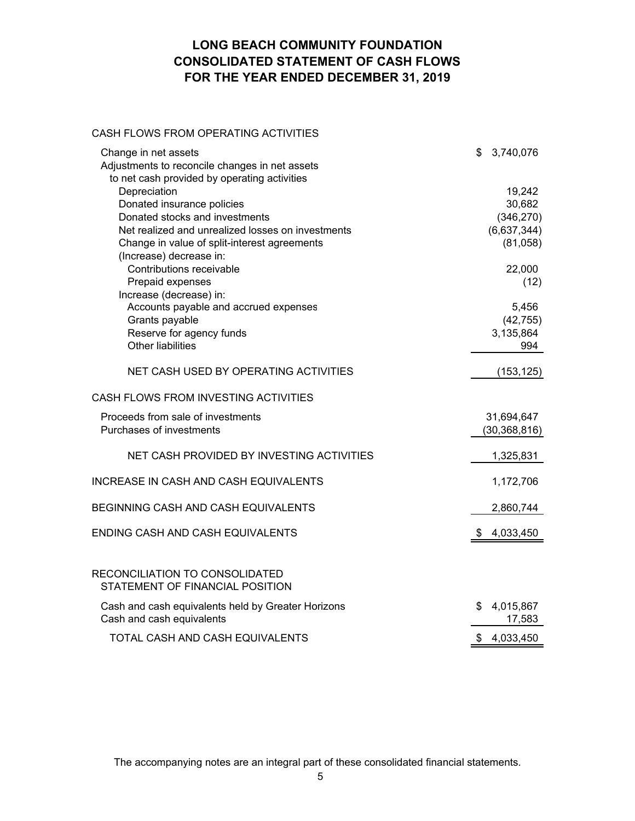# **LONG BEACH COMMUNITY FOUNDATION CONSOLIDATED STATEMENT OF CASH FLOWS FOR THE YEAR ENDED DECEMBER 31, 2019**

### CASH FLOWS FROM OPERATING ACTIVITIES

| Change in net assets                                                            | \$<br>3,740,076           |
|---------------------------------------------------------------------------------|---------------------------|
| Adjustments to reconcile changes in net assets                                  |                           |
| to net cash provided by operating activities                                    |                           |
| Depreciation                                                                    | 19,242                    |
| Donated insurance policies                                                      | 30,682                    |
| Donated stocks and investments                                                  | (346, 270)                |
| Net realized and unrealized losses on investments                               | (6,637,344)               |
| Change in value of split-interest agreements                                    | (81,058)                  |
| (Increase) decrease in:                                                         |                           |
| Contributions receivable                                                        | 22,000                    |
| Prepaid expenses                                                                | (12)                      |
| Increase (decrease) in:                                                         |                           |
| Accounts payable and accrued expenses                                           | 5,456                     |
| Grants payable                                                                  | (42, 755)                 |
| Reserve for agency funds                                                        | 3,135,864                 |
| <b>Other liabilities</b>                                                        | 994                       |
|                                                                                 |                           |
| NET CASH USED BY OPERATING ACTIVITIES                                           | (153, 125)                |
| CASH FLOWS FROM INVESTING ACTIVITIES                                            |                           |
| Proceeds from sale of investments                                               | 31,694,647                |
| Purchases of investments                                                        | (30, 368, 816)            |
|                                                                                 |                           |
| NET CASH PROVIDED BY INVESTING ACTIVITIES                                       | 1,325,831                 |
| <b>INCREASE IN CASH AND CASH EQUIVALENTS</b>                                    | 1,172,706                 |
|                                                                                 |                           |
| BEGINNING CASH AND CASH EQUIVALENTS                                             | 2,860,744                 |
| ENDING CASH AND CASH EQUIVALENTS                                                | 4,033,450<br>\$           |
|                                                                                 |                           |
| RECONCILIATION TO CONSOLIDATED<br>STATEMENT OF FINANCIAL POSITION               |                           |
| Cash and cash equivalents held by Greater Horizons<br>Cash and cash equivalents | \$<br>4,015,867<br>17,583 |
| TOTAL CASH AND CASH EQUIVALENTS                                                 | 4,033,450<br>\$           |
|                                                                                 |                           |

The accompanying notes are an integral part of these consolidated financial statements.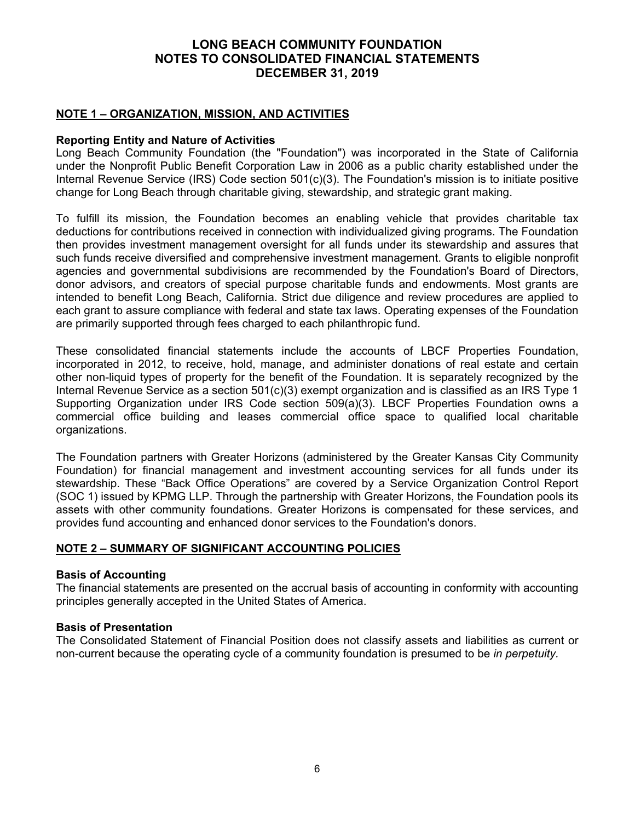### **NOTE 1 – ORGANIZATION, MISSION, AND ACTIVITIES**

#### **Reporting Entity and Nature of Activities**

Long Beach Community Foundation (the "Foundation") was incorporated in the State of California under the Nonprofit Public Benefit Corporation Law in 2006 as a public charity established under the Internal Revenue Service (IRS) Code section 501(c)(3). The Foundation's mission is to initiate positive change for Long Beach through charitable giving, stewardship, and strategic grant making.

To fulfill its mission, the Foundation becomes an enabling vehicle that provides charitable tax deductions for contributions received in connection with individualized giving programs. The Foundation then provides investment management oversight for all funds under its stewardship and assures that such funds receive diversified and comprehensive investment management. Grants to eligible nonprofit agencies and governmental subdivisions are recommended by the Foundation's Board of Directors, donor advisors, and creators of special purpose charitable funds and endowments. Most grants are intended to benefit Long Beach, California. Strict due diligence and review procedures are applied to each grant to assure compliance with federal and state tax laws. Operating expenses of the Foundation are primarily supported through fees charged to each philanthropic fund.

These consolidated financial statements include the accounts of LBCF Properties Foundation, incorporated in 2012, to receive, hold, manage, and administer donations of real estate and certain other non-liquid types of property for the benefit of the Foundation. It is separately recognized by the Internal Revenue Service as a section  $501(c)(3)$  exempt organization and is classified as an IRS Type 1 Supporting Organization under IRS Code section 509(a)(3). LBCF Properties Foundation owns a commercial office building and leases commercial office space to qualified local charitable organizations.

The Foundation partners with Greater Horizons (administered by the Greater Kansas City Community Foundation) for financial management and investment accounting services for all funds under its stewardship. These "Back Office Operations" are covered by a Service Organization Control Report (SOC 1) issued by KPMG LLP. Through the partnership with Greater Horizons, the Foundation pools its assets with other community foundations. Greater Horizons is compensated for these services, and provides fund accounting and enhanced donor services to the Foundation's donors.

#### **NOTE 2 – SUMMARY OF SIGNIFICANT ACCOUNTING POLICIES**

#### **Basis of Accounting**

The financial statements are presented on the accrual basis of accounting in conformity with accounting principles generally accepted in the United States of America.

#### **Basis of Presentation**

The Consolidated Statement of Financial Position does not classify assets and liabilities as current or non-current because the operating cycle of a community foundation is presumed to be *in perpetuity.*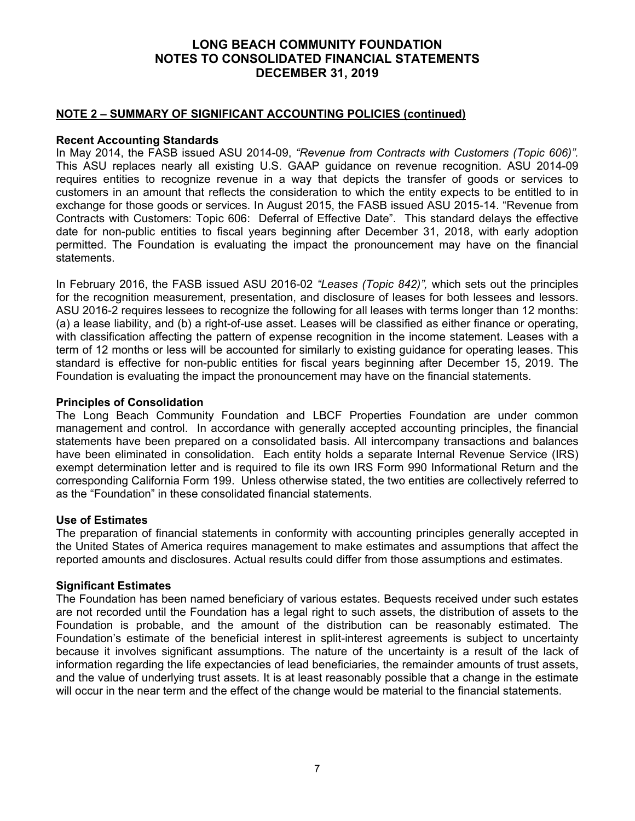### **NOTE 2 – SUMMARY OF SIGNIFICANT ACCOUNTING POLICIES (continued)**

#### **Recent Accounting Standards**

In May 2014, the FASB issued ASU 2014-09, *"Revenue from Contracts with Customers (Topic 606)".* This ASU replaces nearly all existing U.S. GAAP guidance on revenue recognition. ASU 2014-09 requires entities to recognize revenue in a way that depicts the transfer of goods or services to customers in an amount that reflects the consideration to which the entity expects to be entitled to in exchange for those goods or services. In August 2015, the FASB issued ASU 2015-14. "Revenue from Contracts with Customers: Topic 606: Deferral of Effective Date". This standard delays the effective date for non-public entities to fiscal years beginning after December 31, 2018, with early adoption permitted. The Foundation is evaluating the impact the pronouncement may have on the financial statements.

In February 2016, the FASB issued ASU 2016-02 *"Leases (Topic 842)",* which sets out the principles for the recognition measurement, presentation, and disclosure of leases for both lessees and lessors. ASU 2016-2 requires lessees to recognize the following for all leases with terms longer than 12 months: (a) a lease liability, and (b) a right-of-use asset. Leases will be classified as either finance or operating, with classification affecting the pattern of expense recognition in the income statement. Leases with a term of 12 months or less will be accounted for similarly to existing guidance for operating leases. This standard is effective for non-public entities for fiscal years beginning after December 15, 2019. The Foundation is evaluating the impact the pronouncement may have on the financial statements.

#### **Principles of Consolidation**

The Long Beach Community Foundation and LBCF Properties Foundation are under common management and control. In accordance with generally accepted accounting principles, the financial statements have been prepared on a consolidated basis. All intercompany transactions and balances have been eliminated in consolidation. Each entity holds a separate Internal Revenue Service (IRS) exempt determination letter and is required to file its own IRS Form 990 Informational Return and the corresponding California Form 199. Unless otherwise stated, the two entities are collectively referred to as the "Foundation" in these consolidated financial statements.

#### **Use of Estimates**

The preparation of financial statements in conformity with accounting principles generally accepted in the United States of America requires management to make estimates and assumptions that affect the reported amounts and disclosures. Actual results could differ from those assumptions and estimates.

#### **Significant Estimates**

The Foundation has been named beneficiary of various estates. Bequests received under such estates are not recorded until the Foundation has a legal right to such assets, the distribution of assets to the Foundation is probable, and the amount of the distribution can be reasonably estimated. The Foundation's estimate of the beneficial interest in split-interest agreements is subject to uncertainty because it involves significant assumptions. The nature of the uncertainty is a result of the lack of information regarding the life expectancies of lead beneficiaries, the remainder amounts of trust assets, and the value of underlying trust assets. It is at least reasonably possible that a change in the estimate will occur in the near term and the effect of the change would be material to the financial statements.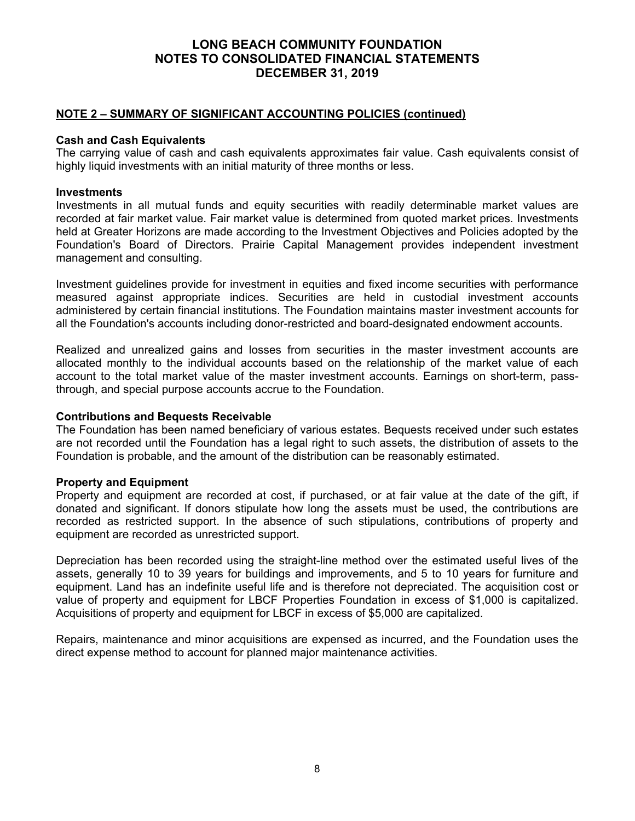### **NOTE 2 – SUMMARY OF SIGNIFICANT ACCOUNTING POLICIES (continued)**

#### **Cash and Cash Equivalents**

The carrying value of cash and cash equivalents approximates fair value. Cash equivalents consist of highly liquid investments with an initial maturity of three months or less.

#### **Investments**

Investments in all mutual funds and equity securities with readily determinable market values are recorded at fair market value. Fair market value is determined from quoted market prices. Investments held at Greater Horizons are made according to the Investment Objectives and Policies adopted by the Foundation's Board of Directors. Prairie Capital Management provides independent investment management and consulting.

Investment guidelines provide for investment in equities and fixed income securities with performance measured against appropriate indices. Securities are held in custodial investment accounts administered by certain financial institutions. The Foundation maintains master investment accounts for all the Foundation's accounts including donor-restricted and board-designated endowment accounts.

Realized and unrealized gains and losses from securities in the master investment accounts are allocated monthly to the individual accounts based on the relationship of the market value of each account to the total market value of the master investment accounts. Earnings on short-term, passthrough, and special purpose accounts accrue to the Foundation.

#### **Contributions and Bequests Receivable**

The Foundation has been named beneficiary of various estates. Bequests received under such estates are not recorded until the Foundation has a legal right to such assets, the distribution of assets to the Foundation is probable, and the amount of the distribution can be reasonably estimated.

#### **Property and Equipment**

Property and equipment are recorded at cost, if purchased, or at fair value at the date of the gift, if donated and significant. If donors stipulate how long the assets must be used, the contributions are recorded as restricted support. In the absence of such stipulations, contributions of property and equipment are recorded as unrestricted support.

Depreciation has been recorded using the straight-line method over the estimated useful lives of the assets, generally 10 to 39 years for buildings and improvements, and 5 to 10 years for furniture and equipment. Land has an indefinite useful life and is therefore not depreciated. The acquisition cost or value of property and equipment for LBCF Properties Foundation in excess of \$1,000 is capitalized. Acquisitions of property and equipment for LBCF in excess of \$5,000 are capitalized.

Repairs, maintenance and minor acquisitions are expensed as incurred, and the Foundation uses the direct expense method to account for planned major maintenance activities.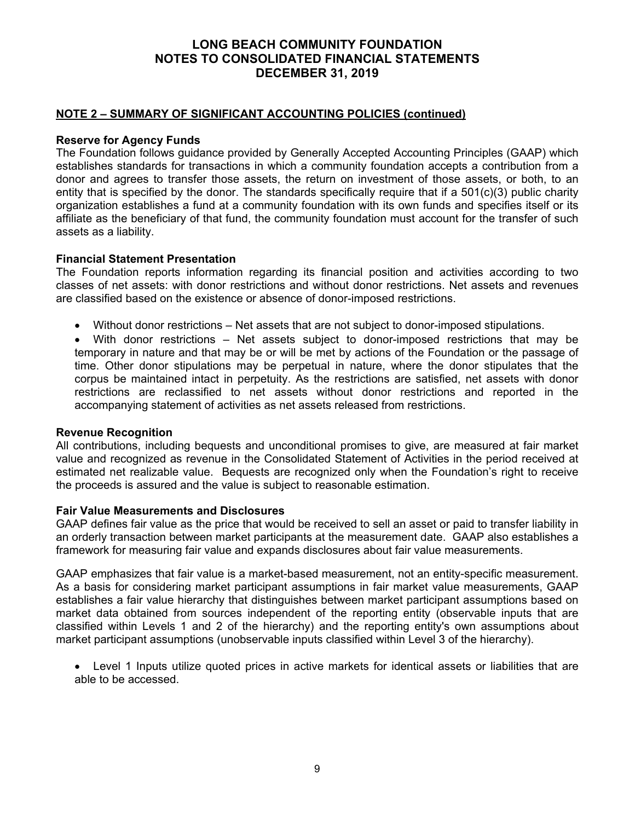### **NOTE 2 – SUMMARY OF SIGNIFICANT ACCOUNTING POLICIES (continued)**

#### **Reserve for Agency Funds**

The Foundation follows guidance provided by Generally Accepted Accounting Principles (GAAP) which establishes standards for transactions in which a community foundation accepts a contribution from a donor and agrees to transfer those assets, the return on investment of those assets, or both, to an entity that is specified by the donor. The standards specifically require that if a 501(c)(3) public charity organization establishes a fund at a community foundation with its own funds and specifies itself or its affiliate as the beneficiary of that fund, the community foundation must account for the transfer of such assets as a liability.

### **Financial Statement Presentation**

The Foundation reports information regarding its financial position and activities according to two classes of net assets: with donor restrictions and without donor restrictions. Net assets and revenues are classified based on the existence or absence of donor-imposed restrictions.

Without donor restrictions – Net assets that are not subject to donor-imposed stipulations.

 With donor restrictions – Net assets subject to donor-imposed restrictions that may be temporary in nature and that may be or will be met by actions of the Foundation or the passage of time. Other donor stipulations may be perpetual in nature, where the donor stipulates that the corpus be maintained intact in perpetuity. As the restrictions are satisfied, net assets with donor restrictions are reclassified to net assets without donor restrictions and reported in the accompanying statement of activities as net assets released from restrictions.

#### **Revenue Recognition**

All contributions, including bequests and unconditional promises to give, are measured at fair market value and recognized as revenue in the Consolidated Statement of Activities in the period received at estimated net realizable value. Bequests are recognized only when the Foundation's right to receive the proceeds is assured and the value is subject to reasonable estimation.

#### **Fair Value Measurements and Disclosures**

GAAP defines fair value as the price that would be received to sell an asset or paid to transfer liability in an orderly transaction between market participants at the measurement date. GAAP also establishes a framework for measuring fair value and expands disclosures about fair value measurements.

GAAP emphasizes that fair value is a market-based measurement, not an entity-specific measurement. As a basis for considering market participant assumptions in fair market value measurements, GAAP establishes a fair value hierarchy that distinguishes between market participant assumptions based on market data obtained from sources independent of the reporting entity (observable inputs that are classified within Levels 1 and 2 of the hierarchy) and the reporting entity's own assumptions about market participant assumptions (unobservable inputs classified within Level 3 of the hierarchy).

 Level 1 Inputs utilize quoted prices in active markets for identical assets or liabilities that are able to be accessed.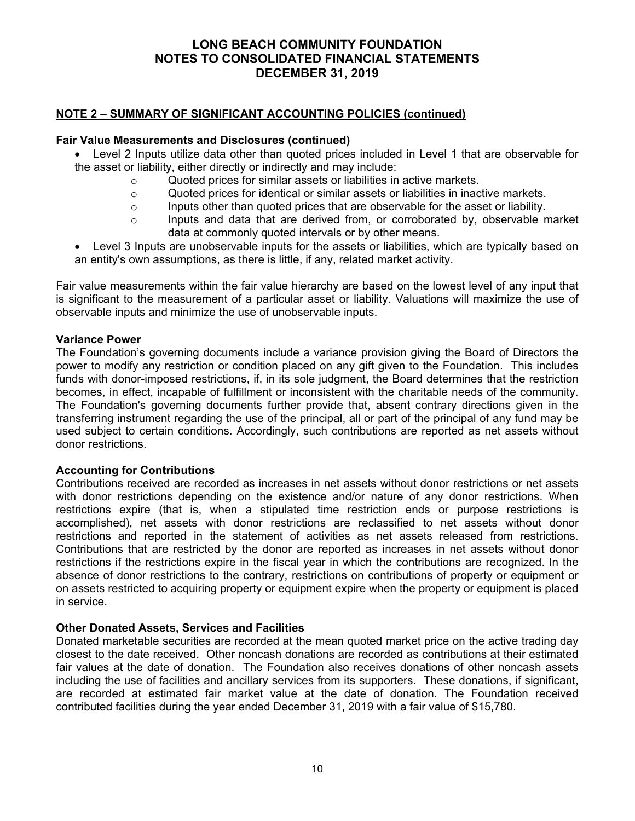#### **NOTE 2 – SUMMARY OF SIGNIFICANT ACCOUNTING POLICIES (continued)**

#### **Fair Value Measurements and Disclosures (continued)**

- Level 2 Inputs utilize data other than quoted prices included in Level 1 that are observable for the asset or liability, either directly or indirectly and may include:
	- o Quoted prices for similar assets or liabilities in active markets.
	- $\circ$  Quoted prices for identical or similar assets or liabilities in inactive markets.
	- $\circ$  Inputs other than quoted prices that are observable for the asset or liability.
	- $\circ$  Inputs and data that are derived from, or corroborated by, observable market data at commonly quoted intervals or by other means.
- Level 3 Inputs are unobservable inputs for the assets or liabilities, which are typically based on an entity's own assumptions, as there is little, if any, related market activity.

Fair value measurements within the fair value hierarchy are based on the lowest level of any input that is significant to the measurement of a particular asset or liability. Valuations will maximize the use of observable inputs and minimize the use of unobservable inputs.

#### **Variance Power**

The Foundation's governing documents include a variance provision giving the Board of Directors the power to modify any restriction or condition placed on any gift given to the Foundation. This includes funds with donor-imposed restrictions, if, in its sole judgment, the Board determines that the restriction becomes, in effect, incapable of fulfillment or inconsistent with the charitable needs of the community. The Foundation's governing documents further provide that, absent contrary directions given in the transferring instrument regarding the use of the principal, all or part of the principal of any fund may be used subject to certain conditions. Accordingly, such contributions are reported as net assets without donor restrictions.

#### **Accounting for Contributions**

Contributions received are recorded as increases in net assets without donor restrictions or net assets with donor restrictions depending on the existence and/or nature of any donor restrictions. When restrictions expire (that is, when a stipulated time restriction ends or purpose restrictions is accomplished), net assets with donor restrictions are reclassified to net assets without donor restrictions and reported in the statement of activities as net assets released from restrictions. Contributions that are restricted by the donor are reported as increases in net assets without donor restrictions if the restrictions expire in the fiscal year in which the contributions are recognized. In the absence of donor restrictions to the contrary, restrictions on contributions of property or equipment or on assets restricted to acquiring property or equipment expire when the property or equipment is placed in service.

#### **Other Donated Assets, Services and Facilities**

Donated marketable securities are recorded at the mean quoted market price on the active trading day closest to the date received. Other noncash donations are recorded as contributions at their estimated fair values at the date of donation. The Foundation also receives donations of other noncash assets including the use of facilities and ancillary services from its supporters. These donations, if significant, are recorded at estimated fair market value at the date of donation. The Foundation received contributed facilities during the year ended December 31, 2019 with a fair value of \$15,780.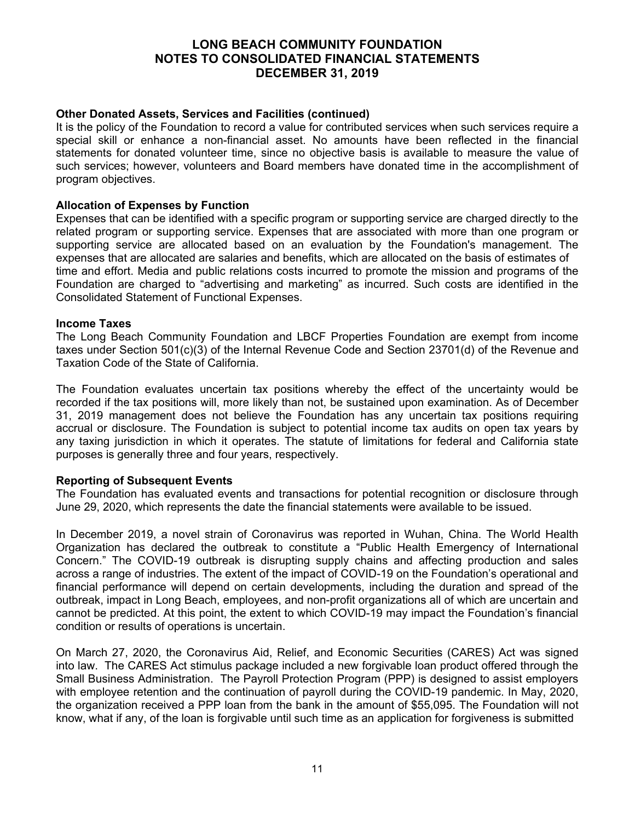### **Other Donated Assets, Services and Facilities (continued)**

It is the policy of the Foundation to record a value for contributed services when such services require a special skill or enhance a non-financial asset. No amounts have been reflected in the financial statements for donated volunteer time, since no objective basis is available to measure the value of such services; however, volunteers and Board members have donated time in the accomplishment of program objectives.

#### **Allocation of Expenses by Function**

Expenses that can be identified with a specific program or supporting service are charged directly to the related program or supporting service. Expenses that are associated with more than one program or supporting service are allocated based on an evaluation by the Foundation's management. The expenses that are allocated are salaries and benefits, which are allocated on the basis of estimates of time and effort. Media and public relations costs incurred to promote the mission and programs of the Foundation are charged to "advertising and marketing" as incurred. Such costs are identified in the Consolidated Statement of Functional Expenses.

#### **Income Taxes**

The Long Beach Community Foundation and LBCF Properties Foundation are exempt from income taxes under Section 501(c)(3) of the Internal Revenue Code and Section 23701(d) of the Revenue and Taxation Code of the State of California.

The Foundation evaluates uncertain tax positions whereby the effect of the uncertainty would be recorded if the tax positions will, more likely than not, be sustained upon examination. As of December 31, 2019 management does not believe the Foundation has any uncertain tax positions requiring accrual or disclosure. The Foundation is subject to potential income tax audits on open tax years by any taxing jurisdiction in which it operates. The statute of limitations for federal and California state purposes is generally three and four years, respectively.

#### **Reporting of Subsequent Events**

The Foundation has evaluated events and transactions for potential recognition or disclosure through June 29, 2020, which represents the date the financial statements were available to be issued.

In December 2019, a novel strain of Coronavirus was reported in Wuhan, China. The World Health Organization has declared the outbreak to constitute a "Public Health Emergency of International Concern." The COVID-19 outbreak is disrupting supply chains and affecting production and sales across a range of industries. The extent of the impact of COVID-19 on the Foundation's operational and financial performance will depend on certain developments, including the duration and spread of the outbreak, impact in Long Beach, employees, and non-profit organizations all of which are uncertain and cannot be predicted. At this point, the extent to which COVID-19 may impact the Foundation's financial condition or results of operations is uncertain.

On March 27, 2020, the Coronavirus Aid, Relief, and Economic Securities (CARES) Act was signed into law. The CARES Act stimulus package included a new forgivable loan product offered through the Small Business Administration. The Payroll Protection Program (PPP) is designed to assist employers with employee retention and the continuation of payroll during the COVID-19 pandemic. In May, 2020, the organization received a PPP loan from the bank in the amount of \$55,095. The Foundation will not know, what if any, of the loan is forgivable until such time as an application for forgiveness is submitted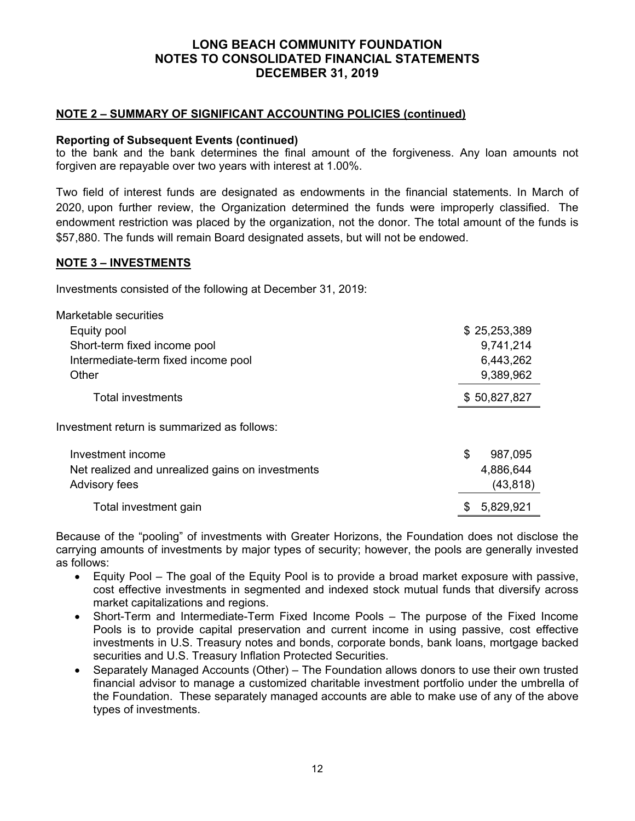### **NOTE 2 – SUMMARY OF SIGNIFICANT ACCOUNTING POLICIES (continued)**

#### **Reporting of Subsequent Events (continued)**

to the bank and the bank determines the final amount of the forgiveness. Any loan amounts not forgiven are repayable over two years with interest at 1.00%.

Two field of interest funds are designated as endowments in the financial statements. In March of 2020, upon further review, the Organization determined the funds were improperly classified. The endowment restriction was placed by the organization, not the donor. The total amount of the funds is \$57,880. The funds will remain Board designated assets, but will not be endowed.

#### **NOTE 3 – INVESTMENTS**

Investments consisted of the following at December 31, 2019:

| Marketable securities<br>Equity pool<br>Short-term fixed income pool<br>Intermediate-term fixed income pool<br>Other | \$25,253,389<br>9,741,214<br>6,443,262<br>9,389,962 |
|----------------------------------------------------------------------------------------------------------------------|-----------------------------------------------------|
| Total investments                                                                                                    | \$50,827,827                                        |
| Investment return is summarized as follows:                                                                          |                                                     |
| Investment income<br>Net realized and unrealized gains on investments<br>Advisory fees                               | \$<br>987,095<br>4,886,644<br>(43,818)              |
| Total investment gain                                                                                                | 5,829,921<br>\$                                     |

Because of the "pooling" of investments with Greater Horizons, the Foundation does not disclose the carrying amounts of investments by major types of security; however, the pools are generally invested as follows:

- Equity Pool The goal of the Equity Pool is to provide a broad market exposure with passive, cost effective investments in segmented and indexed stock mutual funds that diversify across market capitalizations and regions.
- Short-Term and Intermediate-Term Fixed Income Pools The purpose of the Fixed Income Pools is to provide capital preservation and current income in using passive, cost effective investments in U.S. Treasury notes and bonds, corporate bonds, bank loans, mortgage backed securities and U.S. Treasury Inflation Protected Securities.
- Separately Managed Accounts (Other) The Foundation allows donors to use their own trusted financial advisor to manage a customized charitable investment portfolio under the umbrella of the Foundation. These separately managed accounts are able to make use of any of the above types of investments.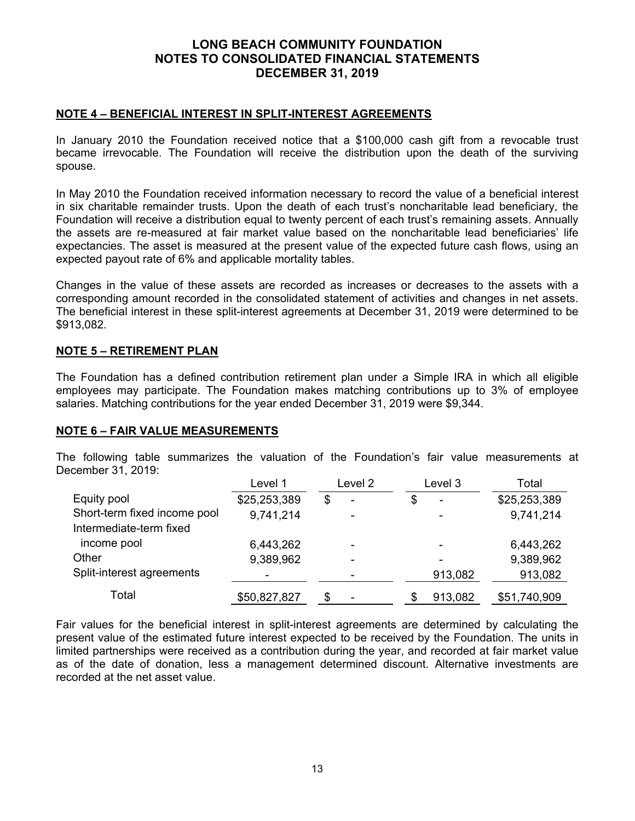### **NOTE 4 – BENEFICIAL INTEREST IN SPLIT-INTEREST AGREEMENTS**

In January 2010 the Foundation received notice that a \$100,000 cash gift from a revocable trust became irrevocable. The Foundation will receive the distribution upon the death of the surviving spouse.

In May 2010 the Foundation received information necessary to record the value of a beneficial interest in six charitable remainder trusts. Upon the death of each trust's noncharitable lead beneficiary, the Foundation will receive a distribution equal to twenty percent of each trust's remaining assets. Annually the assets are re-measured at fair market value based on the noncharitable lead beneficiaries' life expectancies. The asset is measured at the present value of the expected future cash flows, using an expected payout rate of 6% and applicable mortality tables.

Changes in the value of these assets are recorded as increases or decreases to the assets with a corresponding amount recorded in the consolidated statement of activities and changes in net assets. The beneficial interest in these split-interest agreements at December 31, 2019 were determined to be \$913,082.

#### **NOTE 5 – RETIREMENT PLAN**

The Foundation has a defined contribution retirement plan under a Simple IRA in which all eligible employees may participate. The Foundation makes matching contributions up to 3% of employee salaries. Matching contributions for the year ended December 31, 2019 were \$9,344.

#### **NOTE 6 – FAIR VALUE MEASUREMENTS**

The following table summarizes the valuation of the Foundation's fair value measurements at December 31, 2019:

|                              | Level 1      | Level 2 |   |   | Level 3 | Total        |
|------------------------------|--------------|---------|---|---|---------|--------------|
| Equity pool                  | \$25,253,389 | \$      | ۰ | S | ۰       | \$25,253,389 |
| Short-term fixed income pool | 9,741,214    |         |   |   |         | 9,741,214    |
| Intermediate-term fixed      |              |         |   |   |         |              |
| income pool                  | 6,443,262    |         |   |   |         | 6,443,262    |
| Other                        | 9,389,962    |         | - |   |         | 9,389,962    |
| Split-interest agreements    |              |         |   |   | 913,082 | 913,082      |
| Total                        | \$50,827,827 | \$      |   |   | 913,082 | \$51,740,909 |

Fair values for the beneficial interest in split-interest agreements are determined by calculating the present value of the estimated future interest expected to be received by the Foundation. The units in limited partnerships were received as a contribution during the year, and recorded at fair market value as of the date of donation, less a management determined discount. Alternative investments are recorded at the net asset value.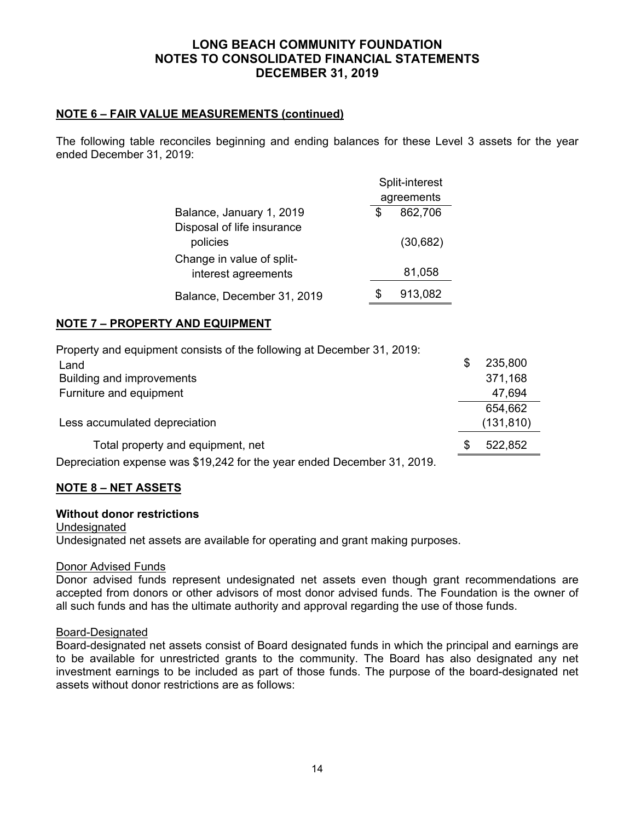### **NOTE 6 – FAIR VALUE MEASUREMENTS (continued)**

The following table reconciles beginning and ending balances for these Level 3 assets for the year ended December 31, 2019:

|                            | Split-interest |           |  |
|----------------------------|----------------|-----------|--|
|                            | agreements     |           |  |
| Balance, January 1, 2019   |                | 862,706   |  |
| Disposal of life insurance |                |           |  |
| policies                   |                | (30, 682) |  |
| Change in value of split-  |                |           |  |
| interest agreements        |                | 81,058    |  |
| Balance, December 31, 2019 |                | 913,082   |  |

## **NOTE 7 – PROPERTY AND EQUIPMENT**

| Property and equipment consists of the following at December 31, 2019: |     |            |
|------------------------------------------------------------------------|-----|------------|
| Land                                                                   | S   | 235,800    |
| Building and improvements                                              |     | 371,168    |
| Furniture and equipment                                                |     | 47,694     |
|                                                                        |     | 654,662    |
| Less accumulated depreciation                                          |     | (131, 810) |
| Total property and equipment, net                                      | \$. | 522,852    |
|                                                                        |     |            |

Depreciation expense was \$19,242 for the year ended December 31, 2019.

#### **NOTE 8 – NET ASSETS**

#### **Without donor restrictions**

#### Undesignated

Undesignated net assets are available for operating and grant making purposes.

#### Donor Advised Funds

Donor advised funds represent undesignated net assets even though grant recommendations are accepted from donors or other advisors of most donor advised funds. The Foundation is the owner of all such funds and has the ultimate authority and approval regarding the use of those funds.

#### Board-Designated

Board-designated net assets consist of Board designated funds in which the principal and earnings are to be available for unrestricted grants to the community. The Board has also designated any net investment earnings to be included as part of those funds. The purpose of the board-designated net assets without donor restrictions are as follows: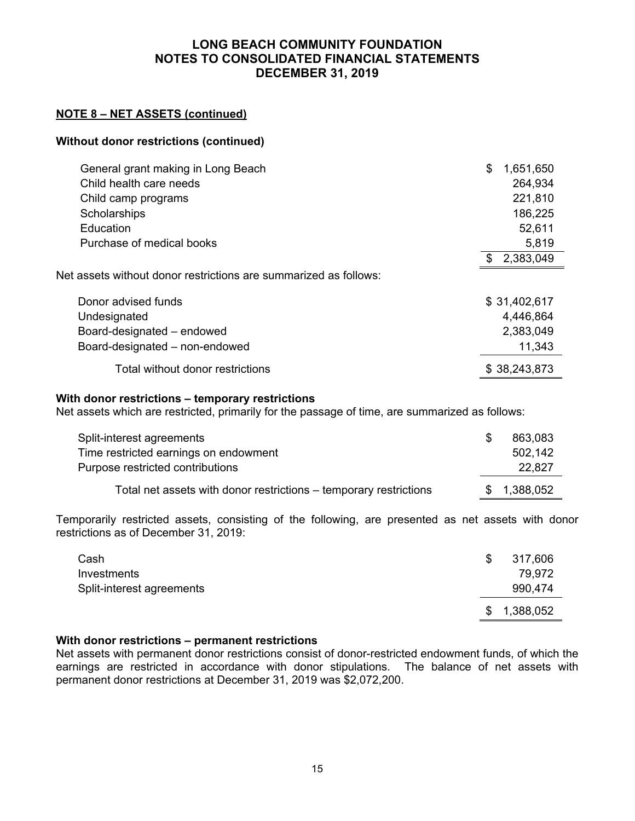## **NOTE 8 – NET ASSETS (continued)**

#### **Without donor restrictions (continued)**

| General grant making in Long Beach                               | \$<br>1,651,650 |
|------------------------------------------------------------------|-----------------|
| Child health care needs                                          | 264,934         |
| Child camp programs                                              | 221,810         |
| Scholarships                                                     | 186,225         |
| Education                                                        | 52,611          |
| Purchase of medical books                                        | 5,819           |
|                                                                  | \$<br>2,383,049 |
| Net assets without donor restrictions are summarized as follows: |                 |
| Donor advised funds                                              | \$31,402,617    |
| Undesignated                                                     | 4,446,864       |
| Board-designated – endowed                                       | 2,383,049       |
| Board-designated - non-endowed                                   | 11,343          |
| Total without donor restrictions                                 | \$38,243,873    |

#### **With donor restrictions – temporary restrictions**

Net assets which are restricted, primarily for the passage of time, are summarized as follows:

| Split-interest agreements                                         | -35 | 863,083     |
|-------------------------------------------------------------------|-----|-------------|
| Time restricted earnings on endowment                             |     | 502,142     |
| Purpose restricted contributions                                  |     | 22.827      |
| Total net assets with donor restrictions – temporary restrictions |     | \$1,388,052 |

Temporarily restricted assets, consisting of the following, are presented as net assets with donor restrictions as of December 31, 2019:

| Cash                      | \$<br>317,606 |
|---------------------------|---------------|
| Investments               | 79,972        |
| Split-interest agreements | 990,474       |
|                           | \$1,388,052   |

#### **With donor restrictions – permanent restrictions**

Net assets with permanent donor restrictions consist of donor-restricted endowment funds, of which the earnings are restricted in accordance with donor stipulations. The balance of net assets with permanent donor restrictions at December 31, 2019 was \$2,072,200.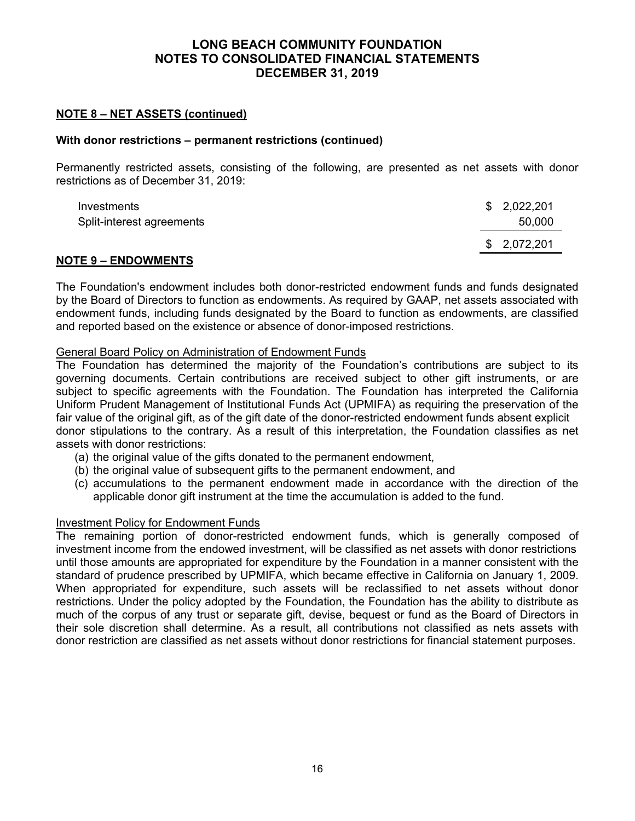### **NOTE 8 – NET ASSETS (continued)**

#### **With donor restrictions – permanent restrictions (continued)**

Permanently restricted assets, consisting of the following, are presented as net assets with donor restrictions as of December 31, 2019:

| Investments                                                     | \$2,022,201 |
|-----------------------------------------------------------------|-------------|
| Split-interest agreements                                       | 50,000      |
| $\sim$ $\sim$ $\sim$<br>$=$ $\cdots$ $\cdots$ $\cdots$ $\cdots$ | \$2,072,201 |

## **NOTE 9 – ENDOWMENTS**

The Foundation's endowment includes both donor-restricted endowment funds and funds designated by the Board of Directors to function as endowments. As required by GAAP, net assets associated with endowment funds, including funds designated by the Board to function as endowments, are classified and reported based on the existence or absence of donor-imposed restrictions.

#### General Board Policy on Administration of Endowment Funds

The Foundation has determined the majority of the Foundation's contributions are subject to its governing documents. Certain contributions are received subject to other gift instruments, or are subject to specific agreements with the Foundation. The Foundation has interpreted the California Uniform Prudent Management of Institutional Funds Act (UPMIFA) as requiring the preservation of the fair value of the original gift, as of the gift date of the donor-restricted endowment funds absent explicit donor stipulations to the contrary. As a result of this interpretation, the Foundation classifies as net assets with donor restrictions:

- (a) the original value of the gifts donated to the permanent endowment,
- (b) the original value of subsequent gifts to the permanent endowment, and
- (c) accumulations to the permanent endowment made in accordance with the direction of the applicable donor gift instrument at the time the accumulation is added to the fund.

#### Investment Policy for Endowment Funds

The remaining portion of donor-restricted endowment funds, which is generally composed of investment income from the endowed investment, will be classified as net assets with donor restrictions until those amounts are appropriated for expenditure by the Foundation in a manner consistent with the standard of prudence prescribed by UPMIFA, which became effective in California on January 1, 2009. When appropriated for expenditure, such assets will be reclassified to net assets without donor restrictions. Under the policy adopted by the Foundation, the Foundation has the ability to distribute as much of the corpus of any trust or separate gift, devise, bequest or fund as the Board of Directors in their sole discretion shall determine. As a result, all contributions not classified as nets assets with donor restriction are classified as net assets without donor restrictions for financial statement purposes.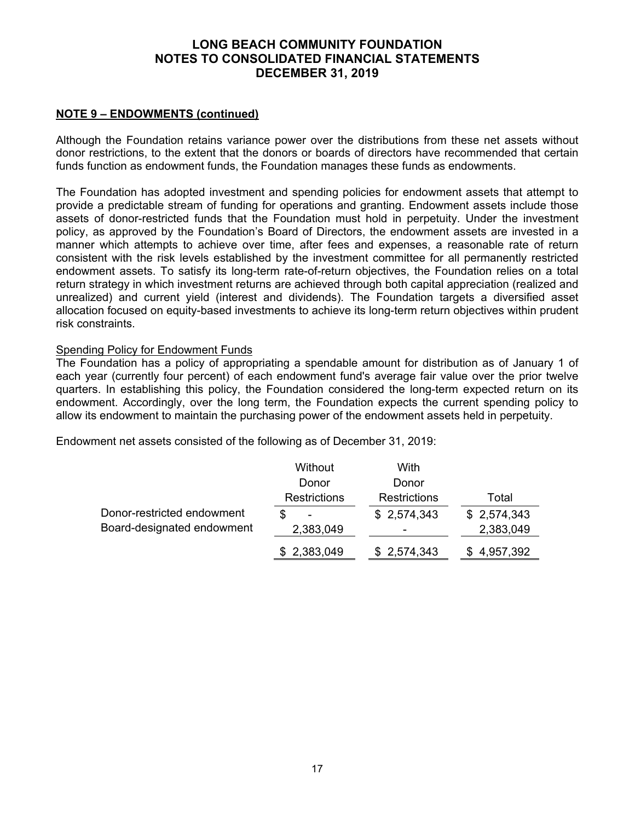### **NOTE 9 – ENDOWMENTS (continued)**

Although the Foundation retains variance power over the distributions from these net assets without donor restrictions, to the extent that the donors or boards of directors have recommended that certain funds function as endowment funds, the Foundation manages these funds as endowments.

The Foundation has adopted investment and spending policies for endowment assets that attempt to provide a predictable stream of funding for operations and granting. Endowment assets include those assets of donor-restricted funds that the Foundation must hold in perpetuity. Under the investment policy, as approved by the Foundation's Board of Directors, the endowment assets are invested in a manner which attempts to achieve over time, after fees and expenses, a reasonable rate of return consistent with the risk levels established by the investment committee for all permanently restricted endowment assets. To satisfy its long-term rate-of-return objectives, the Foundation relies on a total return strategy in which investment returns are achieved through both capital appreciation (realized and unrealized) and current yield (interest and dividends). The Foundation targets a diversified asset allocation focused on equity-based investments to achieve its long-term return objectives within prudent risk constraints.

#### Spending Policy for Endowment Funds

The Foundation has a policy of appropriating a spendable amount for distribution as of January 1 of each year (currently four percent) of each endowment fund's average fair value over the prior twelve quarters. In establishing this policy, the Foundation considered the long-term expected return on its endowment. Accordingly, over the long term, the Foundation expects the current spending policy to allow its endowment to maintain the purchasing power of the endowment assets held in perpetuity.

Endowment net assets consisted of the following as of December 31, 2019:

|                                                          | Without             | With                |             |
|----------------------------------------------------------|---------------------|---------------------|-------------|
|                                                          | Donor               | Donor               |             |
| Donor-restricted endowment<br>Board-designated endowment | <b>Restrictions</b> | <b>Restrictions</b> | Total       |
|                                                          |                     | \$2,574,343         | \$2,574,343 |
|                                                          | 2,383,049           |                     | 2,383,049   |
|                                                          | \$2,383,049         | \$2,574,343         | 4,957,392   |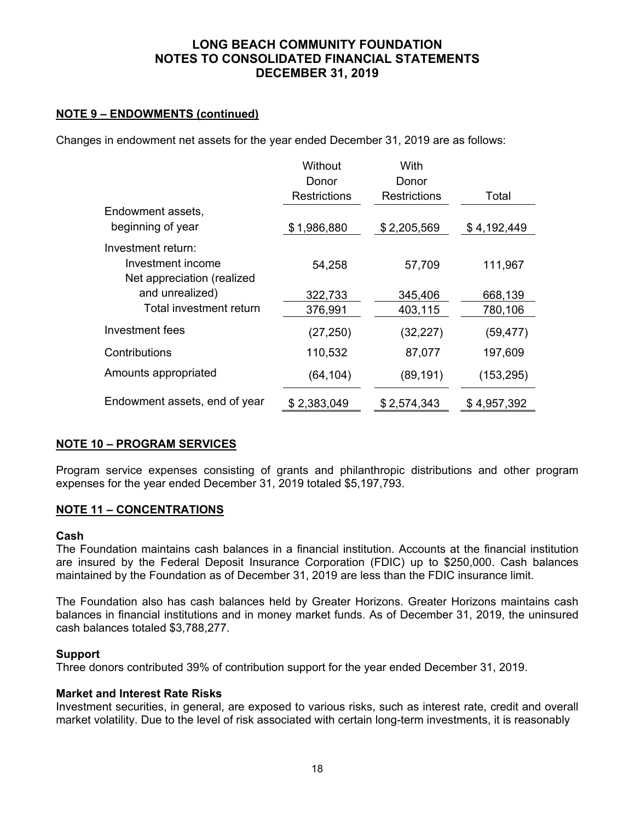### **NOTE 9 – ENDOWMENTS (continued)**

Changes in endowment net assets for the year ended December 31, 2019 are as follows:

|                               | Without             | With                |             |
|-------------------------------|---------------------|---------------------|-------------|
|                               | Donor               | Donor               |             |
|                               | <b>Restrictions</b> | <b>Restrictions</b> | Total       |
| Endowment assets,             |                     |                     |             |
| beginning of year             | \$1,986,880         | \$2,205,569         | \$4,192,449 |
| Investment return:            |                     |                     |             |
| Investment income             | 54,258              | 57,709              | 111,967     |
| Net appreciation (realized    |                     |                     |             |
| and unrealized)               | 322,733             | 345,406             | 668,139     |
| Total investment return       | 376,991             | 403,115             | 780,106     |
| Investment fees               | (27, 250)           | (32, 227)           | (59, 477)   |
| Contributions                 | 110,532             | 87,077              | 197,609     |
| Amounts appropriated          | (64, 104)           | (89, 191)           | (153, 295)  |
| Endowment assets, end of year | \$2,383,049         | \$2,574,343         | \$4,957,392 |

## **NOTE 10 – PROGRAM SERVICES**

Program service expenses consisting of grants and philanthropic distributions and other program expenses for the year ended December 31, 2019 totaled \$5,197,793.

#### **NOTE 11 – CONCENTRATIONS**

#### **Cash**

The Foundation maintains cash balances in a financial institution. Accounts at the financial institution are insured by the Federal Deposit Insurance Corporation (FDIC) up to \$250,000. Cash balances maintained by the Foundation as of December 31, 2019 are less than the FDIC insurance limit.

The Foundation also has cash balances held by Greater Horizons. Greater Horizons maintains cash balances in financial institutions and in money market funds. As of December 31, 2019, the uninsured cash balances totaled \$3,788,277.

#### **Support**

Three donors contributed 39% of contribution support for the year ended December 31, 2019.

#### **Market and Interest Rate Risks**

Investment securities, in general, are exposed to various risks, such as interest rate, credit and overall market volatility. Due to the level of risk associated with certain long-term investments, it is reasonably